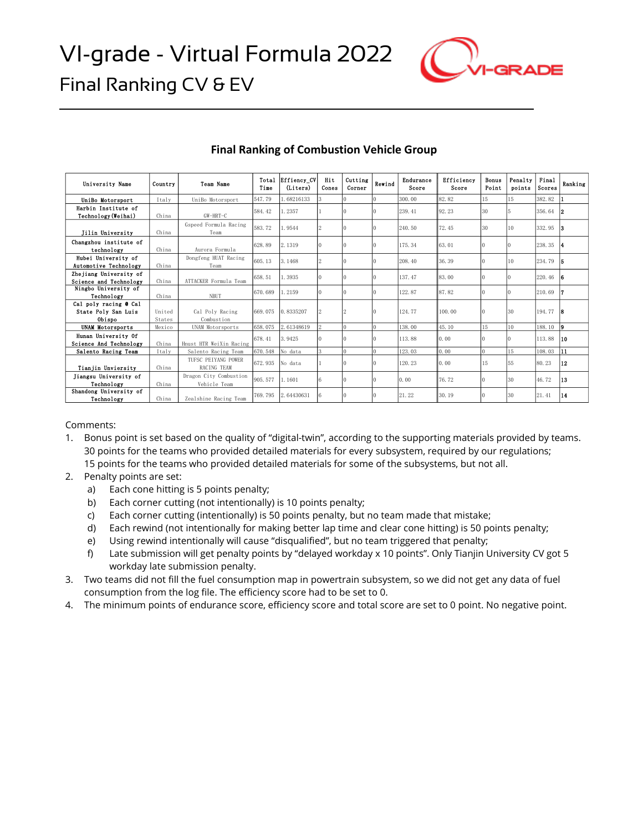

| University Name                                        | Country          | <b>Team Name</b>                       | Total<br>Time | Effiency CV<br>(Liters) | Hit<br>Cones            | Cutting<br>Corner | Rewind                | Endurance<br>Score | Efficiency<br>Score | Bonus<br>Point | Penalty<br>points | Final<br>Scores | Ranking |
|--------------------------------------------------------|------------------|----------------------------------------|---------------|-------------------------|-------------------------|-------------------|-----------------------|--------------------|---------------------|----------------|-------------------|-----------------|---------|
| UniBo Motorsport                                       | Italy            | UniBo Motorsport                       | 547.79        | 1.68216133              |                         |                   |                       | 300.00             | 82.82               | 15             | 15                | 382.82          |         |
| Harbin Institute of<br>Technology (Weihai)             | China            | GW-HRT-C                               | 584.42        | 1.2357                  |                         |                   |                       | 239.41             | 92.23               | 30             |                   | 356.64          |         |
| Jilin University                                       | China            | Gspeed Formula Racing<br>Team          | 583.72        | 1.9544                  | 2                       |                   | ю                     | 240.50             | 72.45               | 30             | 10                | 332.95          | 13      |
| Changzhou institute of<br>technology                   | China            | Aurora Formula                         | 628.89        | 2.1319                  |                         |                   | ю                     | 175.34             | 63.01               | $\Omega$       |                   | 238.35          |         |
| Hubei University of<br>Automotive Technology           | China            | Dongfeng HUAT Racing<br>Team           | 605.13        | 3.1468                  | 2                       |                   | Ю                     | 208.40             | 36.39               |                | 10                | 234.79          | 15      |
| Zhejiang University of<br>Science and Technology       | China            | ATTACKER Formula Team                  | 658.51        | 1.3935                  |                         |                   | Ю                     | 137.47             | 83.00               |                |                   | 220.46          |         |
| Ningbo University of<br>Technology                     | China            | <b>NBUT</b>                            | 670.689       | 1.2159                  |                         |                   | Ю                     | 122.87             | 87.82               |                |                   | 210.69          |         |
| Cal poly racing @ Cal<br>State Poly San Luis<br>Obispo | United<br>States | Cal Poly Racing<br>Combustion          | 669.075       | 0.8335207               |                         |                   |                       | 124.77             | 100.00              |                | 30                | 194.77          | 18      |
| <b>UNAM Motorsports</b>                                | Mexico           | <b>UNAM Motorsports</b>                | 658.075       | 2.61348619              | 9                       | $\Omega$          | I٥                    | 138.00             | 45.10               | 15             | 10                | 188.10          | l9.     |
| Hunan University Of<br>Science And Technology          | China            | Hnust HTR WeiXin Racing                | 678.41        | 3.9425                  |                         |                   | Ю                     | 113.88             | 0.00                |                |                   | 113.88          | 10      |
| Salento Racing Team                                    | Italy            | Salento Racing Team                    | 670.548       | No data                 | $\overline{\mathbf{3}}$ | $\alpha$          | l0                    | 123.03             | 0.00                | $\theta$       | 15                | 108.03          | 11      |
| Tianjin Unviersity                                     | China            | TUESC PETYANG POWER<br>RACING TEAM     | 672.935       | No data                 |                         |                   | Ю                     | 120.23             | 0.00                | 15             | 55                | 80.23           | 12      |
| Jiangsu University of<br>Technology                    | China            | Dragon City Combustion<br>Vehicle Team | 905.577       | 1.1601                  | 6                       | 0                 | $\mathbf{I}^{\prime}$ | 0.00               | 76.72               | $\Omega$       | 30                | 46.72           | 13      |
| Shandong University of<br>Technology                   | China            | Zealshine Racing Team                  | 769.795       | 2.64430631              |                         |                   |                       | 21.22              | 30.19               | $\Omega$       | 30                | 21.41           | 14      |

## **Final Ranking of Combustion Vehicle Group**

Comments:

- 1. Bonus point is set based on the quality of "digital-twin", according to the supporting materials provided by teams. 30 points for the teams who provided detailed materials for every subsystem, required by our regulations; 15 points for the teams who provided detailed materials for some of the subsystems, but not all.
- 2. Penalty points are set:
	- a) Each cone hitting is 5 points penalty;
	- b) Each corner cutting (not intentionally) is 10 points penalty;
	- c) Each corner cutting (intentionally) is 50 points penalty, but no team made that mistake;
	- d) Each rewind (not intentionally for making better lap time and clear cone hitting) is 50 points penalty;
	- e) Using rewind intentionally will cause "disqualified", but no team triggered that penalty;
	- f) Late submission will get penalty points by "delayed workday x 10 points". Only Tianjin University CV got 5 workday late submission penalty.
- 3. Two teams did not fill the fuel consumption map in powertrain subsystem, so we did not get any data of fuel consumption from the log file. The efficiency score had to be set to 0.
- 4. The minimum points of endurance score, efficiency score and total score are set to 0 point. No negative point.